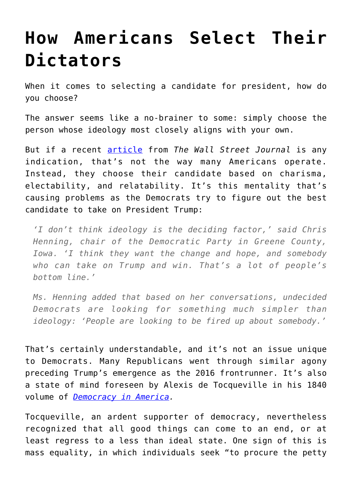## **[How Americans Select Their](https://intellectualtakeout.org/2019/11/how-americans-select-their-dictators/) [Dictators](https://intellectualtakeout.org/2019/11/how-americans-select-their-dictators/)**

When it comes to selecting a candidate for president, how do you choose?

The answer seems like a no-brainer to some: simply choose the person whose ideology most closely aligns with your own.

But if a recent [article](https://www.wsj.com/articles/its-just-nuance-many-democrats-play-down-ideology-when-assessing-candidates-11573472619?mod=hp_lista_pos2) from *The Wall Street Journal* is any indication, that's not the way many Americans operate. Instead, they choose their candidate based on charisma, electability, and relatability. It's this mentality that's causing problems as the Democrats try to figure out the best candidate to take on President Trump:

*'I don't think ideology is the deciding factor,' said Chris Henning, chair of the Democratic Party in Greene County, Iowa. 'I think they want the change and hope, and somebody who can take on Trump and win. That's a lot of people's bottom line.'*

*Ms. Henning added that based on her conversations, undecided Democrats are looking for something much simpler than ideology: 'People are looking to be fired up about somebody.'*

That's certainly understandable, and it's not an issue unique to Democrats. Many Republicans went through similar agony preceding Trump's emergence as the 2016 frontrunner. It's also a state of mind foreseen by Alexis de Tocqueville in his 1840 volume of *[Democracy in America](https://www.gutenberg.org/files/816/816-h/816-h.htm).*

Tocqueville, an ardent supporter of democracy, nevertheless recognized that all good things can come to an end, or at least regress to a less than ideal state. One sign of this is mass equality, in which individuals seek "to procure the petty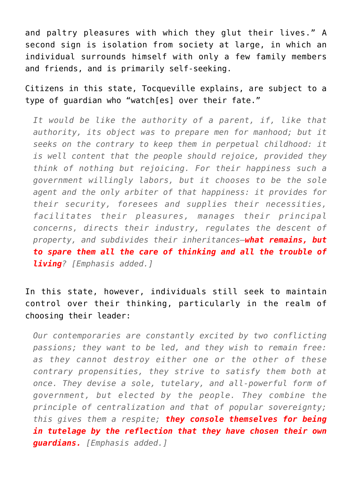and paltry pleasures with which they glut their lives." A second sign is isolation from society at large, in which an individual surrounds himself with only a few family members and friends, and is primarily self-seeking.

Citizens in this state, Tocqueville explains, are subject to a type of guardian who "watch[es] over their fate."

*It would be like the authority of a parent, if, like that authority, its object was to prepare men for manhood; but it seeks on the contrary to keep them in perpetual childhood: it is well content that the people should rejoice, provided they think of nothing but rejoicing. For their happiness such a government willingly labors, but it chooses to be the sole agent and the only arbiter of that happiness: it provides for their security, foresees and supplies their necessities, facilitates their pleasures, manages their principal concerns, directs their industry, regulates the descent of property, and subdivides their inheritances—what remains, but to spare them all the care of thinking and all the trouble of living? [Emphasis added.]*

In this state, however, individuals still seek to maintain control over their thinking, particularly in the realm of choosing their leader:

*Our contemporaries are constantly excited by two conflicting passions; they want to be led, and they wish to remain free: as they cannot destroy either one or the other of these contrary propensities, they strive to satisfy them both at once. They devise a sole, tutelary, and all-powerful form of government, but elected by the people. They combine the principle of centralization and that of popular sovereignty; this gives them a respite; they console themselves for being in tutelage by the reflection that they have chosen their own guardians. [Emphasis added.]*